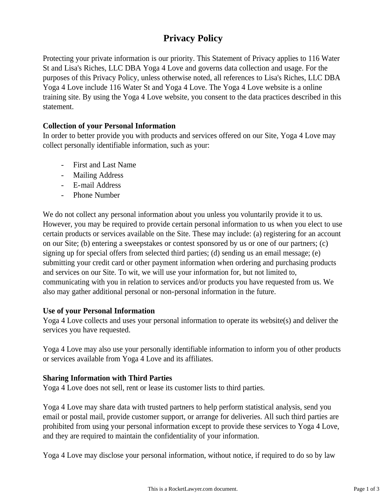# **Privacy Policy**

Protecting your private information is our priority. This Statement of Privacy applies to 116 Water St and Lisa's Riches, LLC DBA Yoga 4 Love and governs data collection and usage. For the purposes of this Privacy Policy, unless otherwise noted, all references to Lisa's Riches, LLC DBA Yoga 4 Love include 116 Water St and Yoga 4 Love. The Yoga 4 Love website is a online training site. By using the Yoga 4 Love website, you consent to the data practices described in this statement.

# **Collection of your Personal Information**

In order to better provide you with products and services offered on our Site, Yoga 4 Love may collect personally identifiable information, such as your:

- First and Last Name
- Mailing Address
- E-mail Address
- Phone Number

We do not collect any personal information about you unless you voluntarily provide it to us. However, you may be required to provide certain personal information to us when you elect to use certain products or services available on the Site. These may include: (a) registering for an account on our Site; (b) entering a sweepstakes or contest sponsored by us or one of our partners; (c) signing up for special offers from selected third parties; (d) sending us an email message; (e) submitting your credit card or other payment information when ordering and purchasing products and services on our Site. To wit, we will use your information for, but not limited to, communicating with you in relation to services and/or products you have requested from us. We also may gather additional personal or non-personal information in the future.

### **Use of your Personal Information**

Yoga 4 Love collects and uses your personal information to operate its website(s) and deliver the services you have requested.

Yoga 4 Love may also use your personally identifiable information to inform you of other products or services available from Yoga 4 Love and its affiliates.

# **Sharing Information with Third Parties**

Yoga 4 Love does not sell, rent or lease its customer lists to third parties.

Yoga 4 Love may share data with trusted partners to help perform statistical analysis, send you email or postal mail, provide customer support, or arrange for deliveries. All such third parties are prohibited from using your personal information except to provide these services to Yoga 4 Love, and they are required to maintain the confidentiality of your information.

Yoga 4 Love may disclose your personal information, without notice, if required to do so by law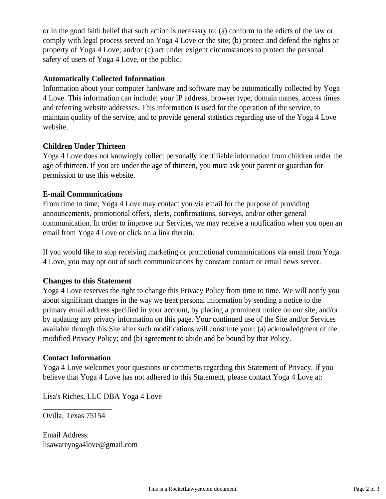or in the good faith belief that such action is necessary to: (a) conform to the edicts of the law or comply with legal process served on Yoga 4 Love or the site; (b) protect and defend the rights or property of Yoga 4 Love; and/or (c) act under exigent circumstances to protect the personal safety of users of Yoga 4 Love, or the public.

## **Automatically Collected Information**

Information about your computer hardware and software may be automatically collected by Yoga 4 Love. This information can include: your IP address, browser type, domain names, access times and referring website addresses. This information is used for the operation of the service, to maintain quality of the service, and to provide general statistics regarding use of the Yoga 4 Love website.

### **Children Under Thirteen**

Yoga 4 Love does not knowingly collect personally identifiable information from children under the age of thirteen. If you are under the age of thirteen, you must ask your parent or guardian for permission to use this website.

## **E-mail Communications**

From time to time, Yoga 4 Love may contact you via email for the purpose of providing announcements, promotional offers, alerts, confirmations, surveys, and/or other general communication. In order to improve our Services, we may receive a notification when you open an email from Yoga 4 Love or click on a link therein.

If you would like to stop receiving marketing or promotional communications via email from Yoga 4 Love, you may opt out of such communications by constant contact or email news server.

### **Changes to this Statement**

Yoga 4 Love reserves the right to change this Privacy Policy from time to time. We will notify you about significant changes in the way we treat personal information by sending a notice to the primary email address specified in your account, by placing a prominent notice on our site, and/or by updating any privacy information on this page. Your continued use of the Site and/or Services available through this Site after such modifications will constitute your: (a) acknowledgment of the modified Privacy Policy; and (b) agreement to abide and be bound by that Policy.

# **Contact Information**

Yoga 4 Love welcomes your questions or comments regarding this Statement of Privacy. If you believe that Yoga 4 Love has not adhered to this Statement, please contact Yoga 4 Love at:

Lisa's Riches, LLC DBA Yoga 4 Love

Ovilla, Texas 75154

 $\overline{\phantom{a}}$  , where  $\overline{\phantom{a}}$ 

Email Address: lisawareyoga4love@gmail.com